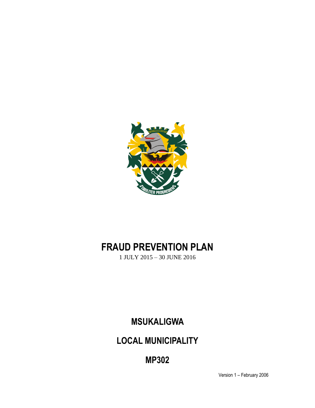

# **FRAUD PREVENTION PLAN**

1 JULY 2015 – 30 JUNE 2016

**MSUKALIGWA** 

**LOCAL MUNICIPALITY**

**MP302**

Version 1 – February 2006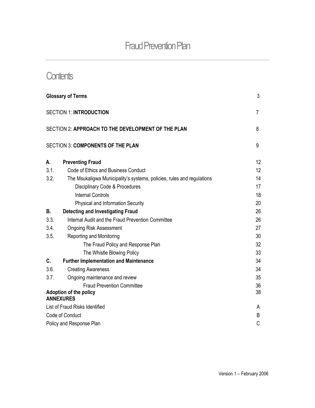## **Contents**

| 3<br><b>Glossary of Terms</b>                                                          |          |
|----------------------------------------------------------------------------------------|----------|
| <b>SECTION 1: INTRODUCTION</b>                                                         |          |
| SECTION 2: APPROACH TO THE DEVELOPMENT OF THE PLAN<br>8                                |          |
| <b>SECTION 3: COMPONENTS OF THE PLAN</b>                                               | 9        |
| А.<br><b>Preventing Fraud</b>                                                          | 12       |
| 3.1.<br>Code of Ethics and Business Conduct                                            | 12       |
| 3.2.<br>The Msukaligwa Municipality's systems, policies, rules and regulations         | 14       |
| Disciplinary Code & Procedures                                                         | 17       |
| <b>Internal Controls</b>                                                               | 18       |
| Physical and Information Security                                                      | 20       |
| <b>Detecting and Investigating Fraud</b><br>В.                                         | 26       |
| Internal Audit and the Fraud Prevention Committee<br>3.3.                              | 26       |
| 3.4.<br><b>Ongoing Risk Assessment</b>                                                 | 27       |
| 3.5.<br>Reporting and Monitoring                                                       | 30       |
| The Fraud Policy and Response Plan                                                     | 32       |
| The Whistle Blowing Policy                                                             | 33       |
| C.<br><b>Further Implementation and Maintenance</b>                                    | 34       |
| 3.6.<br><b>Creating Awareness</b>                                                      | 34       |
| 3.7.<br>Ongoing maintenance and review                                                 | 35       |
| <b>Fraud Prevention Committee</b><br><b>Adoption of the policy</b><br><b>ANNEXURES</b> | 36<br>38 |
| List of Fraud Risks Identified                                                         | A        |
| Code of Conduct<br>B                                                                   |          |
| Policy and Response Plan                                                               |          |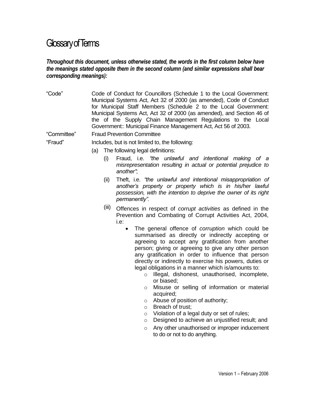## Glossary of Terms

#### *Throughout this document, unless otherwise stated, the words in the first column below have the meanings stated opposite them in the second column (and similar expressions shall bear corresponding meanings):*

"Code" Code of Conduct for Councillors (Schedule 1 to the Local Government: Municipal Systems Act, Act 32 of 2000 (as amended), Code of Conduct for Municipal Staff Members (Schedule 2 to the Local Government: Municipal Systems Act, Act 32 of 2000 (as amended), and Section 46 of the of the Supply Chain Management Regulations to the Local Government:: Municipal Finance Management Act, Act 56 of 2003.

"Committee" Fraud Prevention Committee

"Fraud" Includes, but is not limited to, the following:

- (a) The following legal definitions:
	- (i) Fraud, i.e. *"the unlawful and intentional making of a misrepresentation resulting in actual or potential prejudice to another"*;
	- (ii) Theft, i.e. *"the unlawful and intentional misappropriation of another's property or property which is in his/her lawful possession, with the intention to deprive the owner of its right permanently".*
	- (iii) Offences in respect of *corrupt activities* as defined in the Prevention and Combating of Corrupt Activities Act, 2004, i.e:
		- The general offence of *corruption* which could be summarised as directly or indirectly accepting or agreeing to accept any gratification from another person; giving or agreeing to give any other person any gratification in order to influence that person directly or indirectly to exercise his powers, duties or legal obligations in a manner which is/amounts to:
			- o Illegal, dishonest, unauthorised, incomplete, or biased;
			- o Misuse or selling of information or material acquired;
			- o Abuse of position of authority;
			- o Breach of trust;
			- o Violation of a legal duty or set of rules;
			- o Designed to achieve an unjustified result; and
			- o Any other unauthorised or improper inducement to do or not to do anything.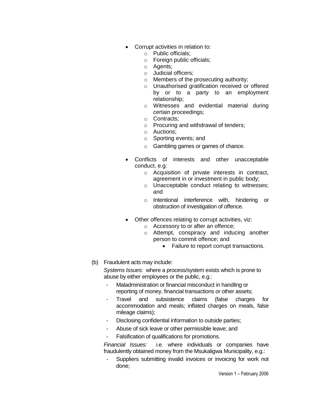- Corrupt activities in relation to:
	- o Public officials;
	- o Foreign public officials;
	- o Agents;
	- o Judicial officers;
	- o Members of the prosecuting authority;
	- o Unauthorised gratification received or offered by or to a party to an employment relationship;
	- o Witnesses and evidential material during certain proceedings;
	- o Contracts;
	- o Procuring and withdrawal of tenders;
	- o Auctions;
	- o Sporting events; and
	- o Gambling games or games of chance.
- Conflicts of interests and other unacceptable conduct, e.g:
	- o Acquisition of private interests in contract, agreement in or investment in public body;
	- o Unacceptable conduct relating to witnesses; and
	- o Intentional interference with, hindering or obstruction of investigation of offence.
- Other offences relating to corrupt activities, viz:
	- o Accessory to or after an offence;
	- o Attempt, conspiracy and inducing another person to commit offence; and
		- Failure to report corrupt transactions.
- (b) Fraudulent acts may include:

*Systems Issues:* where a process/system exists which is prone to abuse by either employees or the public, e.g.:

- Maladministration or financial misconduct in handling or reporting of money, financial transactions or other assets;
- Travel and subsistence claims (false charges for accommodation and meals; inflated charges on meals, false mileage claims);
- Disclosing confidential information to outside parties;
- Abuse of sick leave or other permissible leave; and
- Falsification of qualifications for promotions.

*Financial Issues:* i.e. where individuals or companies have fraudulently obtained money from the Msukaligwa Municipality, e.g.:

Suppliers submitting invalid invoices or invoicing for work not done;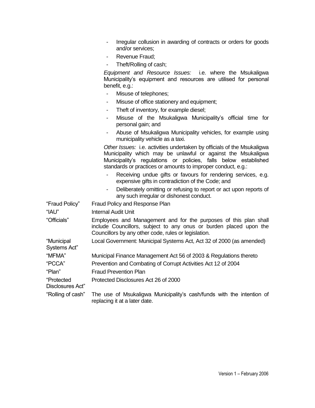- Irregular collusion in awarding of contracts or orders for goods and/or services;
- Revenue Fraud;
- Theft/Rolling of cash;

*Equipment and Resource Issues:* i.e. where the Msukaligwa Municipality's equipment and resources are utilised for personal benefit, e.g.:

- Misuse of telephones;
- Misuse of office stationery and equipment;
- Theft of inventory, for example diesel;
- Misuse of the Msukaligwa Municipality's official time for personal gain; and
- Abuse of Msukaligwa Municipality vehicles, for example using municipality vehicle as a taxi.

*Other Issues:* i.e. activities undertaken by officials of the Msukaligwa Municipality which may be unlawful or against the Msukaligwa Municipality's regulations or policies, falls below established standards or practices or amounts to improper conduct, e.g.:

- Receiving undue gifts or favours for rendering services, e.g. expensive gifts in contradiction of the Code; and
- Deliberately omitting or refusing to report or act upon reports of any such irregular or dishonest conduct.

| "Fraud Policy"                 | Fraud Policy and Response Plan                                                                                                                                                                 |
|--------------------------------|------------------------------------------------------------------------------------------------------------------------------------------------------------------------------------------------|
| "IAU"                          | Internal Audit Unit                                                                                                                                                                            |
| "Officials"                    | Employees and Management and for the purposes of this plan shall<br>include Councillors, subject to any onus or burden placed upon the<br>Councillors by any other code, rules or legislation. |
| "Municipal<br>Systems Act"     | Local Government: Municipal Systems Act, Act 32 of 2000 (as amended)                                                                                                                           |
| "MFMA"                         | Municipal Finance Management Act 56 of 2003 & Regulations thereto                                                                                                                              |
| "PCCA"                         | Prevention and Combating of Corrupt Activities Act 12 of 2004                                                                                                                                  |
| "Plan"                         | <b>Fraud Prevention Plan</b>                                                                                                                                                                   |
| "Protected<br>Disclosures Act" | Protected Disclosures Act 26 of 2000                                                                                                                                                           |
| "Rolling of cash"              | The use of Msukaligwa Municipality's cash/funds with the intention of<br>replacing it at a later date.                                                                                         |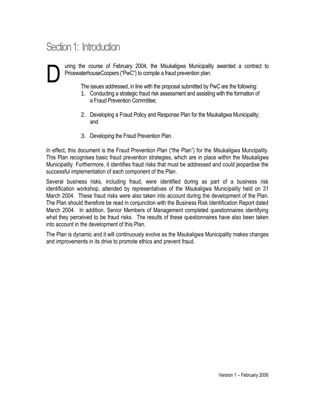# Section 1: Introduction

uring the course of February 2004, the Msukaligwa Municipality awarded a contract to PricewaterhouseCoopers ("PwC") to compile a fraud prevention plan. D

The issues addressed, in line with the proposal submitted by PwC are the following:

- 1. Conducting a strategic fraud risk assessment and assisting with the formation of a Fraud Prevention Committee;
- 2. Developing a Fraud Policy and Response Plan for the Msukaligwa Municipality; and
- 3. Developing the Fraud Prevention Plan.

In effect, this document is the Fraud Prevention Plan ("the Plan") for the Msukaligwa Muncipality. This Plan recognises basic fraud prevention strategies, which are in place within the Msukaligwa Municipality. Furthermore, it identifies fraud risks that must be addressed and could jeopardise the successful implementation of each component of the Plan.

Several business risks, including fraud, were identified during as part of a business risk identification workshop, attended by representatives of the Msukaligwa Municipality held on 31 March 2004. These fraud risks were also taken into account during the development of the Plan. The Plan should therefore be read in conjunction with the Business Risk Identification Report dated March 2004. In addition, Senior Members of Management completed questionnaires identifying what they perceived to be fraud risks. The results of these questionnaires have also been taken into account in the development of this Plan.

The Plan is dynamic and it will continuously evolve as the Msukaligwa Municipality makes changes and improvements in its drive to promote ethics and prevent fraud.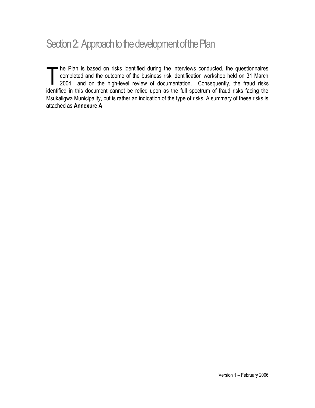# Section 2: Approach to the development of the Plan

The Plan is based on risks identified during the interviews conducted, the questionnaires<br>
completed and the outcome of the business risk identification workshop held on 31 March<br>
2004 and on the high-level review of docum completed and the outcome of the business risk identification workshop held on 31 March 2004 and on the high-level review of documentation. Consequently, the fraud risks identified in this document cannot be relied upon as the full spectrum of fraud risks facing the Msukaligwa Municipality, but is rather an indication of the type of risks. A summary of these risks is attached as **Annexure A**.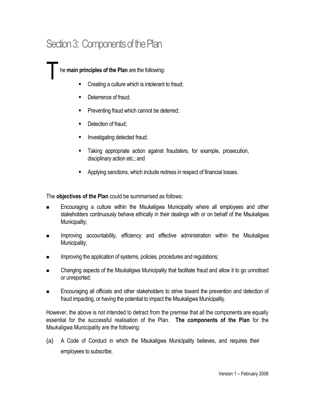# Section 3: Components of the Plan

he **main principles of the Plan** are the following:

- Creating a culture which is intolerant to fraud;
- **Deterrence of fraud;**

T

- Preventing fraud which cannot be deterred;
- Detection of fraud:
- Investigating detected fraud;
- Taking appropriate action against fraudsters, for example, prosecution, disciplinary action etc.; and
- Applying sanctions, which include redress in respect of financial losses.

The **objectives of the Plan** could be summarised as follows:

- **Encouraging a culture within the Msukaligwa Municipality where all employees and other** stakeholders continuously behave ethically in their dealings with or on behalf of the Msukaligwa Municipality;
- **IMPROVING ACCOUNTABILITY, efficiency and effective administration within the Msukaligwa** Municipality;
- Improving the application of systems, policies, procedures and regulations;
- Changing aspects of the Msukaligwa Municipality that facilitate fraud and allow it to go unnoticed or unreported;
- Encouraging all officials and other stakeholders to strive toward the prevention and detection of fraud impacting, or having the potential to impact the Msukaligwa Municipality.

However, the above is not intended to detract from the premise that all the components are equally essential for the successful realisation of the Plan. **The components of the Plan** for the Msukaligwa Municipality are the following:

(a) A Code of Conduct in which the Msukaligwa Municipality believes, and requires their employees to subscribe;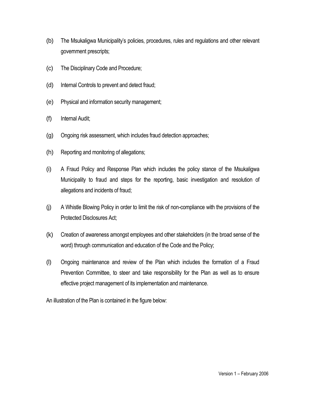- (b) The Msukaligwa Municipality's policies, procedures, rules and regulations and other relevant government prescripts;
- (c) The Disciplinary Code and Procedure;
- (d) Internal Controls to prevent and detect fraud;
- (e) Physical and information security management;
- (f) Internal Audit;
- (g) Ongoing risk assessment, which includes fraud detection approaches;
- (h) Reporting and monitoring of allegations;
- (i) A Fraud Policy and Response Plan which includes the policy stance of the Msukaligwa Municipality to fraud and steps for the reporting, basic investigation and resolution of allegations and incidents of fraud;
- (j) A Whistle Blowing Policy in order to limit the risk of non-compliance with the provisions of the Protected Disclosures Act;
- (k) Creation of awareness amongst employees and other stakeholders (in the broad sense of the word) through communication and education of the Code and the Policy;
- (l) Ongoing maintenance and review of the Plan which includes the formation of a Fraud Prevention Committee, to steer and take responsibility for the Plan as well as to ensure effective project management of its implementation and maintenance.

An illustration of the Plan is contained in the figure below: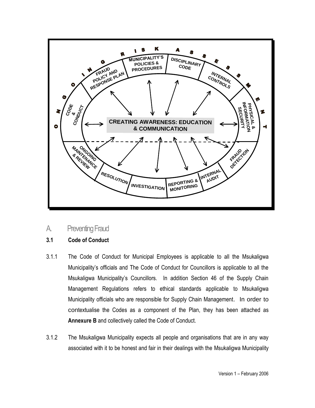

A. Preventing Fraud

#### **3.1 Code of Conduct**

- 3.1.1 The Code of Conduct for Municipal Employees is applicable to all the Msukaligwa Municipality's officials and The Code of Conduct for Councillors is applicable to all the Msukaligwa Municipality's Councillors. In addition Section 46 of the Supply Chain Management Regulations refers to ethical standards applicable to Msukaligwa Municipality officials who are responsible for Supply Chain Management. In order to contextualise the Codes as a component of the Plan, they has been attached as **Annexure B** and collectively called the Code of Conduct.
- 3.1.2 The Msukaligwa Municipality expects all people and organisations that are in any way associated with it to be honest and fair in their dealings with the Msukaligwa Municipality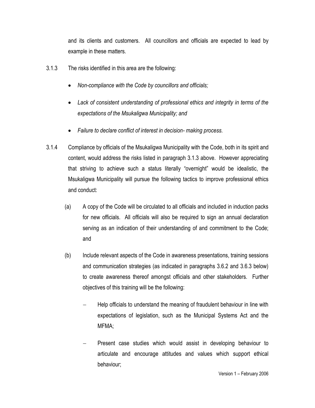and its clients and customers. All councillors and officials are expected to lead by example in these matters.

- 3.1.3 The risks identified in this area are the following:
	- *Non-compliance with the Code by councillors and officials;*
	- *Lack of consistent understanding of professional ethics and integrity in terms of the expectations of the Msukaligwa Municipality; and*
	- *Failure to declare conflict of interest in decision- making process.*
- 3.1.4 Compliance by officials of the Msukaligwa Municipality with the Code, both in its spirit and content, would address the risks listed in paragraph 3.1.3 above. However appreciating that striving to achieve such a status literally "overnight" would be idealistic, the Msukaligwa Municipality will pursue the following tactics to improve professional ethics and conduct:
	- (a) A copy of the Code will be circulated to all officials and included in induction packs for new officials. All officials will also be required to sign an annual declaration serving as an indication of their understanding of and commitment to the Code; and
	- (b) Include relevant aspects of the Code in awareness presentations, training sessions and communication strategies (as indicated in paragraphs 3.6.2 and 3.6.3 below) to create awareness thereof amongst officials and other stakeholders. Further objectives of this training will be the following:
		- Help officials to understand the meaning of fraudulent behaviour in line with expectations of legislation, such as the Municipal Systems Act and the MFMA;
		- Present case studies which would assist in developing behaviour to articulate and encourage attitudes and values which support ethical behaviour;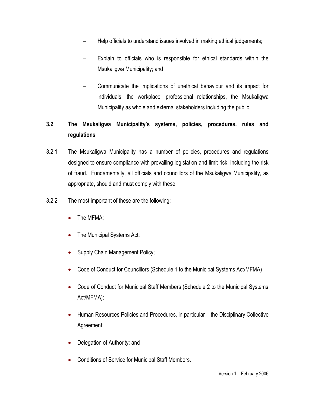- Help officials to understand issues involved in making ethical judgements;
- Explain to officials who is responsible for ethical standards within the Msukaligwa Municipality; and
- Communicate the implications of unethical behaviour and its impact for individuals, the workplace, professional relationships, the Msukaligwa Municipality as whole and external stakeholders including the public.

## **3.2 The Msukaligwa Municipality's systems, policies, procedures, rules and regulations**

- 3.2.1 The Msukaligwa Municipality has a number of policies, procedures and regulations designed to ensure compliance with prevailing legislation and limit risk, including the risk of fraud. Fundamentally, all officials and councillors of the Msukaligwa Municipality, as appropriate, should and must comply with these.
- 3.2.2 The most important of these are the following:
	- The MFMA;
	- The Municipal Systems Act;
	- Supply Chain Management Policy;
	- Code of Conduct for Councillors (Schedule 1 to the Municipal Systems Act/MFMA)
	- Code of Conduct for Municipal Staff Members (Schedule 2 to the Municipal Systems Act/MFMA);
	- Human Resources Policies and Procedures, in particular the Disciplinary Collective Agreement;
	- Delegation of Authority; and
	- Conditions of Service for Municipal Staff Members.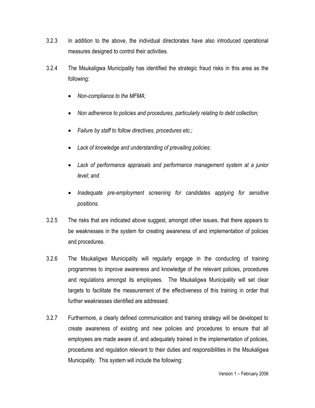- 3.2.3 In addition to the above, the individual directorates have also introduced operational measures designed to control their activities.
- 3.2.4 The Msukaligwa Municipality has identified the strategic fraud risks in this area as the following:
	- *Non-compliance to the MFMA;*
	- *Non adherence to policies and procedures, particularly relating to debt collection;*
	- *Failure by staff to follow directives, procedures etc.;*
	- *Lack of knowledge and understanding of prevailing policies;*
	- *Lack of performance appraisals and performance management system at a junior level; and*
	- *Inadequate pre-employment screening for candidates applying for sensitive positions.*
- 3.2.5 The risks that are indicated above suggest, amongst other issues, that there appears to be weaknesses in the system for creating awareness of and implementation of policies and procedures.
- 3.2.6 The Msukaligwa Municipality will regularly engage in the conducting of training programmes to improve awareness and knowledge of the relevant policies, procedures and regulations amongst its employees. The Msukaligwa Municipality will set clear targets to facilitate the measurement of the effectiveness of this training in order that further weaknesses identified are addressed.
- 3.2.7 Furthermore, a clearly defined communication and training strategy will be developed to create awareness of existing and new policies and procedures to ensure that all employees are made aware of, and adequately trained in the implementation of policies, procedures and regulation relevant to their duties and responsibilities in the Msukaligwa Municipality. This system will include the following: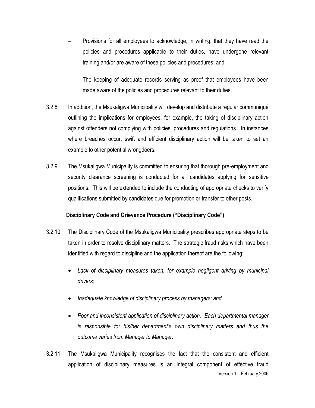- Provisions for all employees to acknowledge, in writing, that they have read the policies and procedures applicable to their duties, have undergone relevant training and/or are aware of these policies and procedures; and
- The keeping of adequate records serving as proof that employees have been made aware of the policies and procedures relevant to their duties.
- 3.2.8 In addition, the Msukaligwa Municipality will develop and distribute a regular communiqué outlining the implications for employees, for example, the taking of disciplinary action against offenders not complying with policies, procedures and regulations. In instances where breaches occur, swift and efficient disciplinary action will be taken to set an example to other potential wrongdoers.
- 3.2.9 The Msukaligwa Municipality is committed to ensuring that thorough pre-employment and security clearance screening is conducted for all candidates applying for sensitive positions. This will be extended to include the conducting of appropriate checks to verify qualifications submitted by candidates due for promotion or transfer to other posts.

#### **Disciplinary Code and Grievance Procedure ("Disciplinary Code")**

- 3.2.10 The Disciplinary Code of the Msukaligwa Municipality prescribes appropriate steps to be taken in order to resolve disciplinary matters. The strategic fraud risks which have been identified with regard to discipline and the application thereof are the following:
	- *Lack of disciplinary measures taken, for example negligent driving by municipal drivers;*
	- *Inadequate knowledge of disciplinary process by managers; and*
	- *Poor and inconsistent application of disciplinary action. Each departmental manager is responsible for his/her department's own disciplinary matters and thus the outcome varies from Manager to Manager.*
- Version 1 February 2006 3.2.11 The Msukaligwa Municipality recognises the fact that the consistent and efficient application of disciplinary measures is an integral component of effective fraud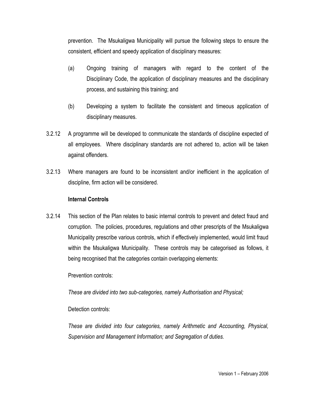prevention. The Msukaligwa Municipality will pursue the following steps to ensure the consistent, efficient and speedy application of disciplinary measures:

- (a) Ongoing training of managers with regard to the content of the Disciplinary Code, the application of disciplinary measures and the disciplinary process, and sustaining this training; and
- (b) Developing a system to facilitate the consistent and timeous application of disciplinary measures.
- 3.2.12 A programme will be developed to communicate the standards of discipline expected of all employees. Where disciplinary standards are not adhered to, action will be taken against offenders.
- 3.2.13 Where managers are found to be inconsistent and/or inefficient in the application of discipline, firm action will be considered.

#### **Internal Controls**

3.2.14 This section of the Plan relates to basic internal controls to prevent and detect fraud and corruption. The policies, procedures, regulations and other prescripts of the Msukaligwa Municipality prescribe various controls, which if effectively implemented, would limit fraud within the Msukaligwa Municipality. These controls may be categorised as follows, it being recognised that the categories contain overlapping elements:

Prevention controls:

*These are divided into two sub-categories, namely Authorisation and Physical;*

Detection controls:

*These are divided into four categories, namely Arithmetic and Accounting, Physical, Supervision and Management Information; and Segregation of duties.*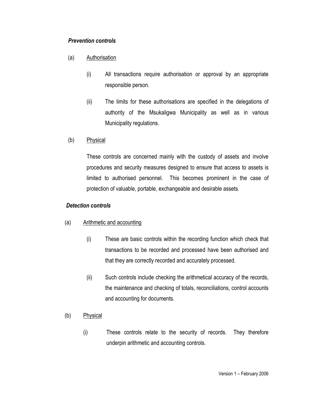#### *Prevention controls*

- (a) Authorisation
	- (i) All transactions require authorisation or approval by an appropriate responsible person.
	- (ii) The limits for these authorisations are specified in the delegations of authority of the Msukaligwa Municipality as well as in various Municipality regulations.
- (b) Physical

These controls are concerned mainly with the custody of assets and involve procedures and security measures designed to ensure that access to assets is limited to authorised personnel. This becomes prominent in the case of protection of valuable, portable, exchangeable and desirable assets.

#### *Detection controls*

#### (a) Arithmetic and accounting

- (i) These are basic controls within the recording function which check that transactions to be recorded and processed have been authorised and that they are correctly recorded and accurately processed.
- (ii) Such controls include checking the arithmetical accuracy of the records, the maintenance and checking of totals, reconciliations, control accounts and accounting for documents.
- (b) Physical
	- (i) These controls relate to the security of records. They therefore underpin arithmetic and accounting controls.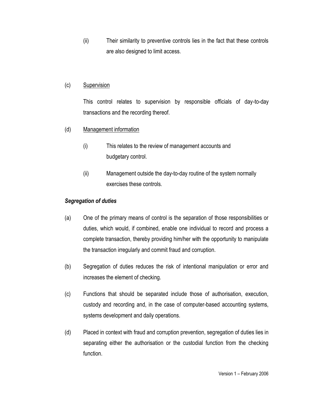(ii) Their similarity to preventive controls lies in the fact that these controls are also designed to limit access.

#### (c) Supervision

This control relates to supervision by responsible officials of day-to-day transactions and the recording thereof.

#### (d) Management information

- (i) This relates to the review of management accounts and budgetary control.
- (ii) Management outside the day-to-day routine of the system normally exercises these controls.

#### *Segregation of duties*

- (a) One of the primary means of control is the separation of those responsibilities or duties, which would, if combined, enable one individual to record and process a complete transaction, thereby providing him/her with the opportunity to manipulate the transaction irregularly and commit fraud and corruption.
- (b) Segregation of duties reduces the risk of intentional manipulation or error and increases the element of checking.
- (c) Functions that should be separated include those of authorisation, execution, custody and recording and, in the case of computer-based accounting systems, systems development and daily operations.
- (d) Placed in context with fraud and corruption prevention, segregation of duties lies in separating either the authorisation or the custodial function from the checking function.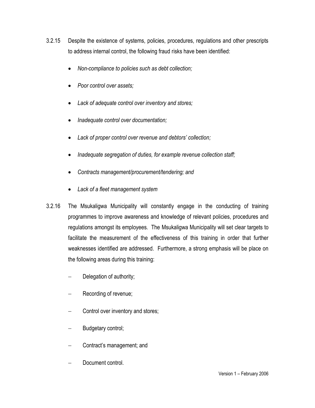- 3.2.15 Despite the existence of systems, policies, procedures, regulations and other prescripts to address internal control, the following fraud risks have been identified:
	- *Non-compliance to policies such as debt collection;*
	- *Poor control over assets;*
	- *Lack of adequate control over inventory and stores;*
	- *Inadequate control over documentation;*
	- *Lack of proper control over revenue and debtors' collection;*
	- *Inadequate segregation of duties, for example revenue collection staff;*
	- *Contracts management/procurement/tendering; and*
	- *Lack of a fleet management system*
- 3.2.16 The Msukaligwa Municipality will constantly engage in the conducting of training programmes to improve awareness and knowledge of relevant policies, procedures and regulations amongst its employees. The Msukaligwa Municipality will set clear targets to facilitate the measurement of the effectiveness of this training in order that further weaknesses identified are addressed. Furthermore, a strong emphasis will be place on the following areas during this training:
	- Delegation of authority;
	- Recording of revenue;
	- Control over inventory and stores;
	- Budgetary control;
	- Contract's management; and
	- Document control.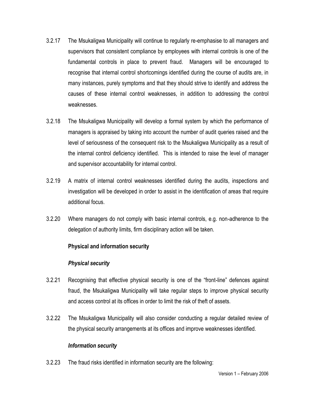- 3.2.17 The Msukaligwa Municipality will continue to regularly re-emphasise to all managers and supervisors that consistent compliance by employees with internal controls is one of the fundamental controls in place to prevent fraud. Managers will be encouraged to recognise that internal control shortcomings identified during the course of audits are, in many instances, purely symptoms and that they should strive to identify and address the causes of these internal control weaknesses, in addition to addressing the control weaknesses.
- 3.2.18 The Msukaligwa Municipality will develop a formal system by which the performance of managers is appraised by taking into account the number of audit queries raised and the level of seriousness of the consequent risk to the Msukaligwa Municipality as a result of the internal control deficiency identified. This is intended to raise the level of manager and supervisor accountability for internal control.
- 3.2.19 A matrix of internal control weaknesses identified during the audits, inspections and investigation will be developed in order to assist in the identification of areas that require additional focus.
- 3.2.20 Where managers do not comply with basic internal controls, e.g. non-adherence to the delegation of authority limits, firm disciplinary action will be taken.

#### **Physical and information security**

#### *Physical security*

- 3.2.21 Recognising that effective physical security is one of the "front-line" defences against fraud, the Msukaligwa Municipality will take regular steps to improve physical security and access control at its offices in order to limit the risk of theft of assets.
- 3.2.22 The Msukaligwa Municipality will also consider conducting a regular detailed review of the physical security arrangements at its offices and improve weaknesses identified.

#### *Information security*

3.2.23 The fraud risks identified in information security are the following: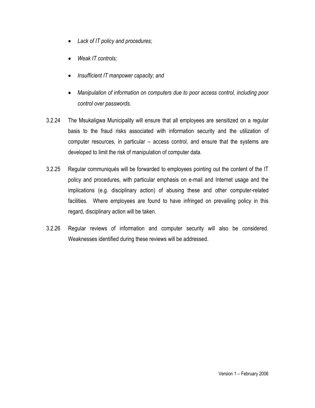- *Lack of IT policy and procedures;*
- *Weak IT controls;*
- *Insufficient IT manpower capacity; and*
- *Manipulation of information on computers due to poor access control, including poor control over passwords.*
- 3.2.24 The Msukaligwa Municipality will ensure that all employees are sensitized on a regular basis to the fraud risks associated with information security and the utilization of computer resources, in particular – access control, and ensure that the systems are developed to limit the risk of manipulation of computer data.
- 3.2.25 Regular communiqués will be forwarded to employees pointing out the content of the IT policy and procedures, with particular emphasis on e-mail and Internet usage and the implications (e.g. disciplinary action) of abusing these and other computer-related facilities. Where employees are found to have infringed on prevailing policy in this regard, disciplinary action will be taken.
- 3.2.26 Regular reviews of information and computer security will also be considered. Weaknesses identified during these reviews will be addressed.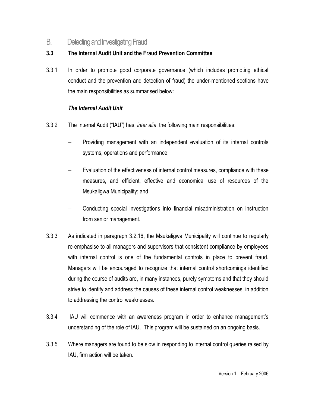### B. Detecting and Investigating Fraud

### **3.3 The Internal Audit Unit and the Fraud Prevention Committee**

3.3.1 In order to promote good corporate governance (which includes promoting ethical conduct and the prevention and detection of fraud) the under-mentioned sections have the main responsibilities as summarised below:

#### *The Internal Audit Unit*

- 3.3.2 The Internal Audit ("IAU") has, *inter alia*, the following main responsibilities:
	- Providing management with an independent evaluation of its internal controls systems, operations and performance;
	- Evaluation of the effectiveness of internal control measures, compliance with these measures, and efficient, effective and economical use of resources of the Msukaligwa Municipality; and
	- Conducting special investigations into financial misadministration on instruction from senior management.
- 3.3.3 As indicated in paragraph 3.2.16, the Msukaligwa Municipality will continue to regularly re-emphasise to all managers and supervisors that consistent compliance by employees with internal control is one of the fundamental controls in place to prevent fraud. Managers will be encouraged to recognize that internal control shortcomings identified during the course of audits are, in many instances, purely symptoms and that they should strive to identify and address the causes of these internal control weaknesses, in addition to addressing the control weaknesses.
- 3.3.4 IAU will commence with an awareness program in order to enhance management's understanding of the role of IAU. This program will be sustained on an ongoing basis.
- 3.3.5 Where managers are found to be slow in responding to internal control queries raised by IAU, firm action will be taken.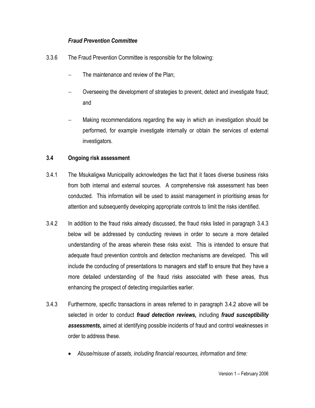#### *Fraud Prevention Committee*

- 3.3.6 The Fraud Prevention Committee is responsible for the following:
	- The maintenance and review of the Plan;
	- Overseeing the development of strategies to prevent, detect and investigate fraud; and
	- Making recommendations regarding the way in which an investigation should be performed, for example investigate internally or obtain the services of external investigators.

#### **3.4 Ongoing risk assessment**

- 3.4.1 The Msukaligwa Municipality acknowledges the fact that it faces diverse business risks from both internal and external sources. A comprehensive risk assessment has been conducted. This information will be used to assist management in prioritising areas for attention and subsequently developing appropriate controls to limit the risks identified.
- 3.4.2 In addition to the fraud risks already discussed, the fraud risks listed in paragraph 3.4.3 below will be addressed by conducting reviews in order to secure a more detailed understanding of the areas wherein these risks exist. This is intended to ensure that adequate fraud prevention controls and detection mechanisms are developed. This will include the conducting of presentations to managers and staff to ensure that they have a more detailed understanding of the fraud risks associated with these areas, thus enhancing the prospect of detecting irregularities earlier.
- 3.4.3 Furthermore, specific transactions in areas referred to in paragraph 3.4.2 above will be selected in order to conduct *fraud detection reviews,* including *fraud susceptibility assessments,* aimed at identifying possible incidents of fraud and control weaknesses in order to address these.
	- *Abuse/misuse of assets, including financial resources, information and time:*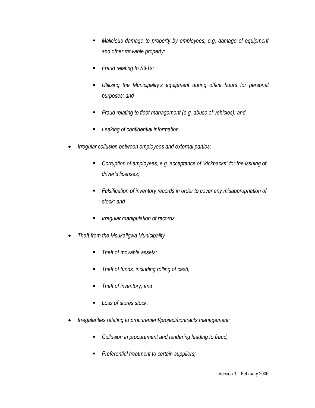- *Malicious damage to property by employees, e.g. damage of equipment and other movable property;*
- *Fraud relating to S&Ts;*
- *Utilising the Municipality's equipment during office hours for personal purposes; and*
- *Fraud relating to fleet management (e.g. abuse of vehicles); and*
- *Leaking of confidential information.*
- *Irregular collusion between employees and external parties:*
	- *Corruption of employees, e.g. acceptance of "kickbacks" for the issuing of driver's licenses;*
	- *Falsification of inventory records in order to cover any misappropriation of stock; and*
	- *Irregular manipulation of records.*
- *Theft from the Msukaligwa Municipality* 
	- *Theft of movable assets;*
	- *Theft of funds, including rolling of cash;*
	- *Theft of inventory; and*
	- *Loss of stores stock.*
- *Irregularities relating to procurement/project/contracts management:*
	- *Collusion in procurement and tendering leading to fraud;*
	- *Preferential treatment to certain suppliers;*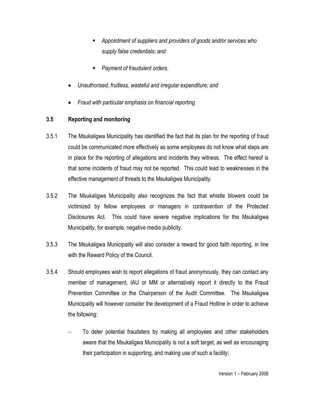- *Appointment of suppliers and providers of goods and/or services who supply false credentials; and*
- *Payment of fraudulent orders.*
- *Unauthorised, fruitless, wasteful and irregular expenditure; and*
- *Fraud with particular emphasis on financial reporting.*

#### **3.5 Reporting and monitoring**

- 3.5.1 The Msukaligwa Municipality has identified the fact that its plan for the reporting of fraud could be communicated more effectively as some employees do not know what steps are in place for the reporting of allegations and incidents they witness. The effect hereof is that some incidents of fraud may not be reported. This could lead to weaknesses in the effective management of threats to the Msukaligwa Municipality.
- 3.5.2 The Msukaligwa Municipality also recognizes the fact that whistle blowers could be victimized by fellow employees or managers in contravention of the Protected Disclosures Act. This could have severe negative implications for the Msukaligwa Municipality, for example, negative media publicity.
- 3.5.3 The Msukaligwa Municipality will also consider a reward for good faith reporting, in line with the Reward Policy of the Council.
- 3.5.4 Should employees wish to report allegations of fraud anonymously, they can contact any member of management, IAU or MM or alternatively report it directly to the Fraud Prevention Committee or the Chairperson of the Audit Committee. The Msukaligwa Municipality will however consider the development of a Fraud Hotline in order to achieve the following:
	- To deter potential fraudsters by making all employees and other stakeholders aware that the Msukaligwa Municipality is not a soft target, as well as encouraging their participation in supporting, and making use of such a facility;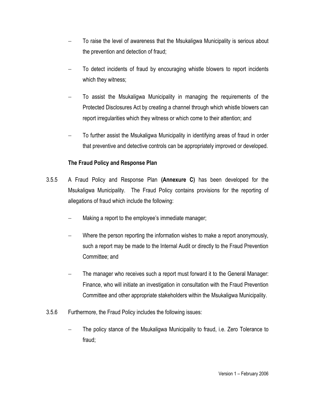- To raise the level of awareness that the Msukaligwa Municipality is serious about the prevention and detection of fraud;
- To detect incidents of fraud by encouraging whistle blowers to report incidents which they witness;
- To assist the Msukaligwa Municipality in managing the requirements of the Protected Disclosures Act by creating a channel through which whistle blowers can report irregularities which they witness or which come to their attention; and
- To further assist the Msukaligwa Municipality in identifying areas of fraud in order that preventive and detective controls can be appropriately improved or developed.

#### **The Fraud Policy and Response Plan**

- 3.5.5 A Fraud Policy and Response Plan **(Annexure C)** has been developed for the Msukaligwa Municipality. The Fraud Policy contains provisions for the reporting of allegations of fraud which include the following:
	- Making a report to the employee's immediate manager;
	- Where the person reporting the information wishes to make a report anonymously, such a report may be made to the Internal Audit or directly to the Fraud Prevention Committee; and
	- The manager who receives such a report must forward it to the General Manager: Finance, who will initiate an investigation in consultation with the Fraud Prevention Committee and other appropriate stakeholders within the Msukaligwa Municipality.
- 3.5.6 Furthermore, the Fraud Policy includes the following issues:
	- The policy stance of the Msukaligwa Municipality to fraud, i.e. Zero Tolerance to fraud;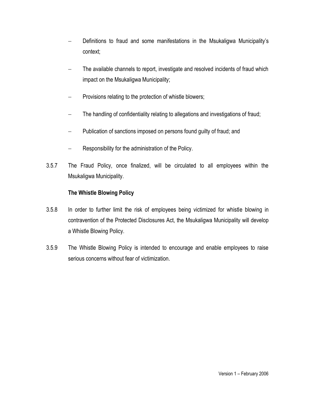- Definitions to fraud and some manifestations in the Msukaligwa Municipality's context;
- The available channels to report, investigate and resolved incidents of fraud which impact on the Msukaligwa Municipality;
- Provisions relating to the protection of whistle blowers;
- The handling of confidentiality relating to allegations and investigations of fraud;
- Publication of sanctions imposed on persons found guilty of fraud; and
- Responsibility for the administration of the Policy.
- 3.5.7 The Fraud Policy, once finalized, will be circulated to all employees within the Msukaligwa Municipality.

#### **The Whistle Blowing Policy**

- 3.5.8 In order to further limit the risk of employees being victimized for whistle blowing in contravention of the Protected Disclosures Act, the Msukaligwa Municipality will develop a Whistle Blowing Policy.
- 3.5.9 The Whistle Blowing Policy is intended to encourage and enable employees to raise serious concerns without fear of victimization.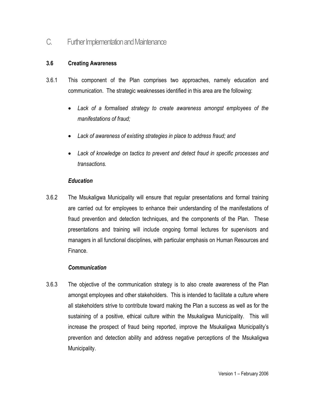### C. Further Implementation and Maintenance

#### **3.6 Creating Awareness**

- 3.6.1 This component of the Plan comprises two approaches, namely education and communication. The strategic weaknesses identified in this area are the following:
	- *Lack of a formalised strategy to create awareness amongst employees of the manifestations of fraud;*
	- *Lack of awareness of existing strategies in place to address fraud; and*
	- *Lack of knowledge on tactics to prevent and detect fraud in specific processes and transactions.*

#### *Education*

3.6.2 The Msukaligwa Municipality will ensure that regular presentations and formal training are carried out for employees to enhance their understanding of the manifestations of fraud prevention and detection techniques, and the components of the Plan. These presentations and training will include ongoing formal lectures for supervisors and managers in all functional disciplines, with particular emphasis on Human Resources and Finance.

#### *Communication*

3.6.3 The objective of the communication strategy is to also create awareness of the Plan amongst employees and other stakeholders. This is intended to facilitate a culture where all stakeholders strive to contribute toward making the Plan a success as well as for the sustaining of a positive, ethical culture within the Msukaligwa Municipality. This will increase the prospect of fraud being reported, improve the Msukaligwa Municipality's prevention and detection ability and address negative perceptions of the Msukaligwa Municipality.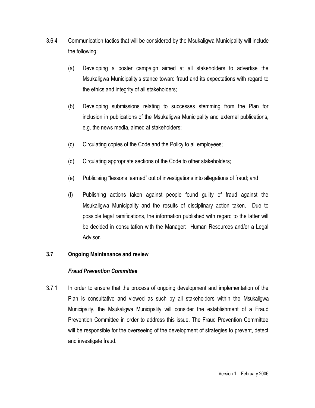- 3.6.4 Communication tactics that will be considered by the Msukaligwa Municipality will include the following:
	- (a) Developing a poster campaign aimed at all stakeholders to advertise the Msukaligwa Municipality's stance toward fraud and its expectations with regard to the ethics and integrity of all stakeholders;
	- (b) Developing submissions relating to successes stemming from the Plan for inclusion in publications of the Msukaligwa Municipality and external publications, e.g. the news media, aimed at stakeholders;
	- (c) Circulating copies of the Code and the Policy to all employees;
	- (d) Circulating appropriate sections of the Code to other stakeholders;
	- (e) Publicising "lessons learned" out of investigations into allegations of fraud; and
	- (f) Publishing actions taken against people found guilty of fraud against the Msukaligwa Municipality and the results of disciplinary action taken. Due to possible legal ramifications, the information published with regard to the latter will be decided in consultation with the Manager: Human Resources and/or a Legal Advisor.

#### **3.7 Ongoing Maintenance and review**

#### *Fraud Prevention Committee*

3.7.1 In order to ensure that the process of ongoing development and implementation of the Plan is consultative and viewed as such by all stakeholders within the Msukaligwa Municipality, the Msukaligwa Municipality will consider the establishment of a Fraud Prevention Committee in order to address this issue. The Fraud Prevention Committee will be responsible for the overseeing of the development of strategies to prevent, detect and investigate fraud.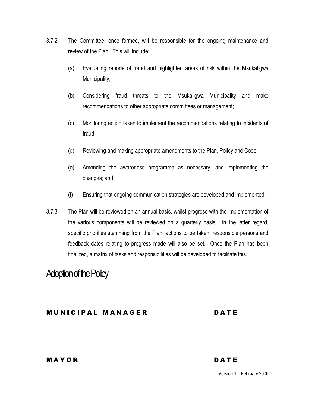- 3.7.2 The Committee, once formed, will be responsible for the ongoing maintenance and review of the Plan. This will include:
	- (a) Evaluating reports of fraud and highlighted areas of risk within the Msukaligwa Municipality;
	- (b) Considering fraud threats to the Msukaligwa Municipality and make recommendations to other appropriate committees or management;
	- (c) Monitoring action taken to implement the recommendations relating to incidents of fraud;
	- (d) Reviewing and making appropriate amendments to the Plan, Policy and Code;
	- (e) Amending the awareness programme as necessary, and implementing the changes; and
	- (f) Ensuring that ongoing communication strategies are developed and implemented.
- 3.7.3 The Plan will be reviewed on an annual basis, whilst progress with the implementation of the various components will be reviewed on a quarterly basis. In the latter regard, specific priorities stemming from the Plan, actions to be taken, responsible persons and feedback dates relating to progress made will also be set. Once the Plan has been finalized, a matrix of tasks and responsibilities will be developed to facilitate this.

**\_ \_ \_ \_ \_ \_ \_ \_ \_ \_ \_ \_ \_ \_ \_ \_ \_ \_ \_ \_ \_ \_ \_ \_ \_ \_ \_ \_ \_ \_ \_ \_**

\_\_\_\_\_\_\_\_\_\_\_\_\_\_\_\_\_\_\_ \_\_\_\_\_\_\_\_ \_\_\_

## Adoption of the Policy

MUNICIPAL MANAGER DATE

M A Y OR DA T E

Version 1 – February 2006